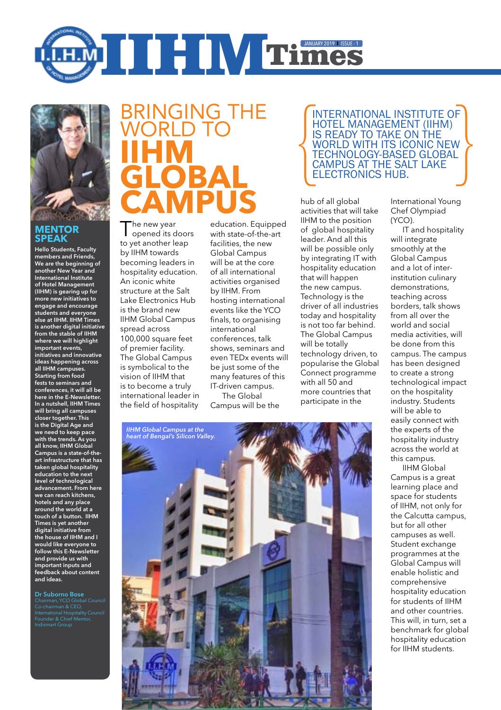



### **MENTOR SPEAK**

Hello Students, Faculty members and Friends, We are the beginning of another New Year and International Institute of Hotel Management (IIHM) is gearing up for more new initiatives to engage and encourage students and everyone else at IIHM. IIHM Times is another digital initiative from the stable of IIHM where we will highlight important events, initiatives and innovative ideas happening across all IIHM campuses. Starting from food fests to seminars and conferences, it will all be here in the E-Newsletter. In a nutshell, IIHM Times will bring all campuses closer together. This is the Digital Age and we need to keep pace with the trends. As you all know, IIHM Global Campus is a state-of-theart infrastructure that has taken global hospitality education to the next level of technological advancement. From here we can reach kitchens, hotels and any place around the world at a touch of a button. IIHM Times is yet another digital initiative from the house of IIHM and I would like everyone to follow this E-Newsletter and provide us with important inputs and feedback about content and ideas.

Dr Suborno Bose Chairman, YCO Global Council Chairman, YCO Glob<br>Co-chairman & CEO, International Hospitality Council Founder & Chief Mentor, Indismart Group

# Bringing the WORLD TO **IIHM BAI Campus**

The new year<br>Topened its doors to yet another leap by IIHM towards becoming leaders in hospitality education. An iconic white structure at the Salt Lake Electronics Hub is the brand new IIHM Global Campus spread across 100,000 square feet of premier facility. The Global Campus is symbolical to the vision of IIHM that is to become a truly international leader in the field of hospitality

education. Equipped with state-of-the-art facilities, the new Global Campus will be at the core of all international activities organised by IIHM. From hosting international events like the YCO finals, to organising international conferences, talk shows, seminars and even TEDx events will be just some of the many features of this IT-driven campus. The Global

Campus will be the

International Institute of Hotel Management (IIHM) is ready to take on the world with its iconic new technology-based Global Campus at the Salt Lake Electronics Hub.

hub of all global activities that will take IIHM to the position of global hospitality leader. And all this will be possible only by integrating IT with hospitality education that will happen the new campus. Technology is the driver of all industries today and hospitality is not too far behind. The Global Campus will be totally technology driven, to popularise the Global Connect programme with all 50 and more countries that participate in the

International Young Chef Olympiad (YCO).

IT and hospitality will integrate smoothly at the Global Campus and a lot of interinstitution culinary demonstrations, teaching across borders, talk shows from all over the world and social media activities, will be done from this campus. The campus has been designed to create a strong technological impact on the hospitality industry. Students will be able to easily connect with the experts of the hospitality industry across the world at this campus.

IIHM Global Campus is a great learning place and space for students of IIHM, not only for the Calcutta campus, but for all other campuses as well. Student exchange programmes at the Global Campus will enable holistic and comprehensive hospitality education for students of IIHM and other countries. This will, in turn, set a benchmark for global hospitality education for IIHM students.

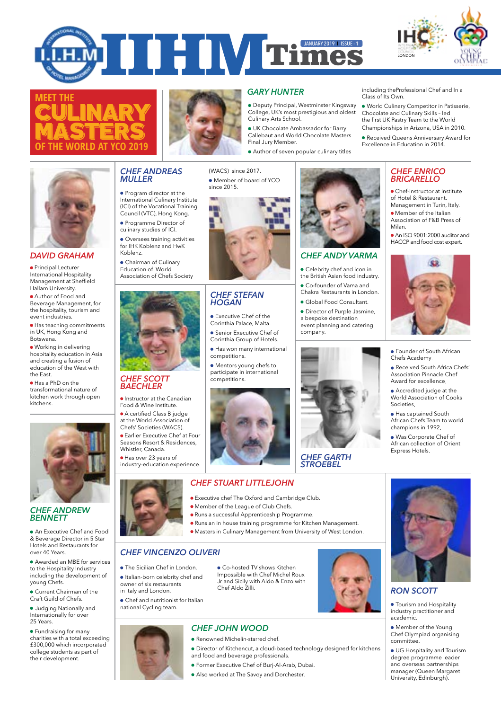







## *GARY HUNTER*

Deputy Principal, Westminster Kingsway College, UK's most prestigious and oldest Culinary Arts School.

UK Chocolate Ambassador for Barry Callebaut and World Chocolate Masters Final Jury Member.

Author of seven popular culinary titles

including theProfessional Chef and In a Class of Its Own.

- World Culinary Competitor in Patisserie, Chocolate and Culinary Skills – led the first UK Pastry Team to the World Championships in Arizona, USA in 2010.
- Received Queens Anniversary Award for Excellence in Education in 2014.

### *CHEF ENRICO BRICARELLO*

Chef-instructor at Institute of Hotel & Restaurant. Management in Turin, Italy **•** Member of the Italian Association of F&B Press of Milan.

An ISO 9001:2000 auditor and HACCP and food cost expert.

#### *DAVID GRAHAM*

**•** Principal Lecturer International Hospitality Management at Sheffield Hallam University.

Author of Food and Beverage Management, for the hospitality, tourism and event industries.

Has teaching commitments in UK, Hong Kong and Botswana.

Working in delivering hospitality education in Asia and creating a fusion of education of the West with the East.

● Has a PhD on the transformational nature of kitchen work through open kitchens.



#### *CHEF ANDREW BENNETT*

An Executive Chef and Food & Beverage Director in 5 Star Hotels and Restaurants for over 40 Years.

Awarded an MBE for services to the Hospitality Industry including the development of young Chefs.

Current Chairman of the Craft Guild of Chefs.

Judging Nationally and Internationally for over 25 Years.

Fundraising for many charities with a total exceeding £300,000 which incorporated college students as part of their development.

### *CHEF ANDREAS MULLER*

Program director at the International Culinary Institute (ICI) of the Vocational Training Council (VTC), Hong Kong.

**• Programme Director of** culinary studies of ICI.

Oversees training activities for IHK Koblenz and HwK Koblenz.

Chairman of Culinary Education of World Association of Chefs Society



#### *CHEF SCOTT BAECHLER*

**• Instructor at the Canadian** Food & Wine Institute.

A certified Class B judge at the World Association of Chefs' Societies (WACS). Earlier Executive Chef at Four Seasons Resort & Residences,

Whistler, Canada. Has over 23 years of

industry-education experience.



- 
- 
- Chef and nutritionist for Italian

Chef Aldo Zilli.

- *CHEF JOHN WOOD*
- Renowned Michelin-starred chef.
- Director of Kitchencut, a cloud-based technology designed for kitchens and food and beverage professionals.
	- Former Executive Chef of Burj-Al-Arab, Dubai.
	- Also worked at The Savoy and Dorchester.



### *CHEF ANDY VARMA*

Celebrity chef and icon in the British Asian food industry.

a bespoke destination event planning and catering company.





Founder of South African Chefs Academy.

Received South Africa Chefs' Association Pinnacle Chef Award for excellence.

Accredited judge at the World Association of Cooks Societies.

Has captained South African Chefs Team to world champions in 1992.

Was Corporate Chef of African collection of Orient Express Hotels.



## *RON SCOTT*

**• Tourism and Hospitality** industry practitioner and academic.

Member of the Young Chef Olympiad organising committee.

**UG** Hospitality and Tourism degree programme leader and overseas partnerships manager (Queen Margaret University, Edinburgh).

(WACS) since 2017. Member of board of YCO

since 2015.

Executive Chef of the Corinthia Palace, Malta. *CHEF STEFAN HOGAN*

- Senior Executive Chef of
- Corinthia Group of Hotels. Has won many international
- Mentors young chefs to participate in international competitions.







- 
- 

- **The Sicilian Chef in London.** Italian-born celebrity chef and owner of six restaurants
- 
- national Cycling team.



Executive chef The Oxford and Cambridge Club.

Co-hosted TV shows Kitchen Impossible with Chef Michel Roux Jr and Sicily with Aldo & Enzo with

- 
- Runs a successful Apprenticeship Programme.
- Runs an in house training programme for Kitchen Management.
- Masters in Culinary Management from University of West London.

## *CHEF VINCENZO OLIVERI*

- 
- in Italy and London.
- 



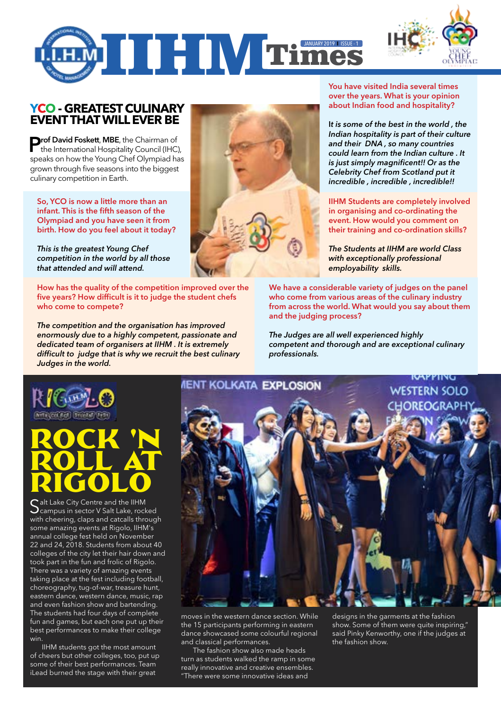



## **YCO - GREATEST CULINARY EVENT THAT WILL EVER BE**

**Prof David Foskett, MBE**, the Chairman of the International Hospitality Council (IHC), speaks on how the Young Chef Olympiad has grown through five seasons into the biggest culinary competition in Earth.

So, YCO is now a little more than an infant. This is the fifth season of the Olympiad and you have seen it from birth. How do you feel about it today?

*This is the greatest Young Chef competition in the world by all those that attended and will attend.*

How has the quality of the competition improved over the five years? How difficult is it to judge the student chefs who come to compete?

*The competition and the organisation has improved enormously due to a highly competent, passionate and dedicated team of organisers at IIHM . It is extremely difficult to judge that is why we recruit the best culinary Judges in the world.*



You have visited India several times over the years. What is your opinion about Indian food and hospitality?

I*t is some of the best in the world , the Indian hospitality is part of their culture and their DNA , so many countries could learn from the Indian culture . It is just simply magnificent!! Or as the Celebrity Chef from Scotland put it incredible , incredible , incredible!!*

IIHM Students are completely involved in organising and co-ordinating the event. How would you comment on their training and co-ordination skills?

*The Students at IIHM are world Class with exceptionally professional employability skills.*

We have a considerable variety of judges on the panel who come from various areas of the culinary industry from across the world. What would you say about them and the judging process?

*The Judges are all well experienced highly competent and thorough and are exceptional culinary professionals.*



# Rock 'N ROLL AT Rigolo

Salt Lake City Centre and the IIHM<br>Scampus in sector V Salt Lake, rocked with cheering, claps and catcalls through some amazing events at Rigolo, IIHM's annual college fest held on November 22 and 24, 2018. Students from about 40 colleges of the city let their hair down and took part in the fun and frolic of Rigolo. There was a variety of amazing events taking place at the fest including football, choreography, tug-of-war, treasure hunt, eastern dance, western dance, music, rap and even fashion show and bartending. The students had four days of complete fun and games, but each one put up their best performances to make their college win.

IIHM students got the most amount of cheers but other colleges, too, put up some of their best performances. Team iLead burned the stage with their great



moves in the western dance section. While the 15 participants performing in eastern dance showcased some colourful regional and classical performances.

The fashion show also made heads turn as students walked the ramp in some really innovative and creative ensembles. "There were some innovative ideas and

designs in the garments at the fashion show. Some of them were quite inspiring," said Pinky Kenworthy, one if the judges at the fashion show.